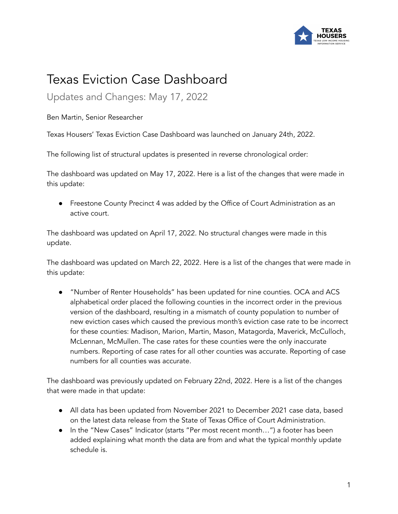

## Texas Eviction Case Dashboard

Updates and Changes: May 17, 2022

Ben Martin, Senior Researcher

Texas Housers' Texas Eviction Case Dashboard was launched on January 24th, 2022.

The following list of structural updates is presented in reverse chronological order:

The dashboard was updated on May 17, 2022. Here is a list of the changes that were made in this update:

● Freestone County Precinct 4 was added by the Office of Court Administration as an active court.

The dashboard was updated on April 17, 2022. No structural changes were made in this update.

The dashboard was updated on March 22, 2022. Here is a list of the changes that were made in this update:

● "Number of Renter Households" has been updated for nine counties. OCA and ACS alphabetical order placed the following counties in the incorrect order in the previous version of the dashboard, resulting in a mismatch of county population to number of new eviction cases which caused the previous month's eviction case rate to be incorrect for these counties: Madison, Marion, Martin, Mason, Matagorda, Maverick, McCulloch, McLennan, McMullen. The case rates for these counties were the only inaccurate numbers. Reporting of case rates for all other counties was accurate. Reporting of case numbers for all counties was accurate.

The dashboard was previously updated on February 22nd, 2022. Here is a list of the changes that were made in that update:

- All data has been updated from November 2021 to December 2021 case data, based on the latest data release from the State of Texas Office of Court Administration.
- In the "New Cases" Indicator (starts "Per most recent month…") a footer has been added explaining what month the data are from and what the typical monthly update schedule is.